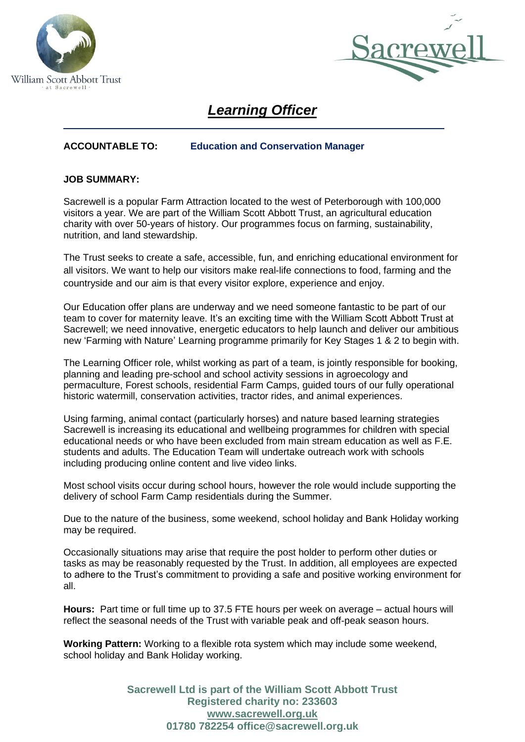



# *Learning Officer*

# **ACCOUNTABLE TO: Education and Conservation Manager**

## **JOB SUMMARY:**

Sacrewell is a popular Farm Attraction located to the west of Peterborough with 100,000 visitors a year. We are part of the William Scott Abbott Trust, an agricultural education charity with over 50-years of history. Our programmes focus on farming, sustainability, nutrition, and land stewardship.

The Trust seeks to create a safe, accessible, fun, and enriching educational environment for all visitors. We want to help our visitors make real-life connections to food, farming and the countryside and our aim is that every visitor explore, experience and enjoy.

Our Education offer plans are underway and we need someone fantastic to be part of our team to cover for maternity leave. It's an exciting time with the William Scott Abbott Trust at Sacrewell; we need innovative, energetic educators to help launch and deliver our ambitious new 'Farming with Nature' Learning programme primarily for Key Stages 1 & 2 to begin with.

The Learning Officer role, whilst working as part of a team, is jointly responsible for booking, planning and leading pre-school and school activity sessions in agroecology and permaculture, Forest schools, residential Farm Camps, guided tours of our fully operational historic watermill, conservation activities, tractor rides, and animal experiences.

Using farming, animal contact (particularly horses) and nature based learning strategies Sacrewell is increasing its educational and wellbeing programmes for children with special educational needs or who have been excluded from main stream education as well as F.E. students and adults. The Education Team will undertake outreach work with schools including producing online content and live video links.

Most school visits occur during school hours, however the role would include supporting the delivery of school Farm Camp residentials during the Summer.

Due to the nature of the business, some weekend, school holiday and Bank Holiday working may be required.

Occasionally situations may arise that require the post holder to perform other duties or tasks as may be reasonably requested by the Trust. In addition, all employees are expected to adhere to the Trust's commitment to providing a safe and positive working environment for all.

**Hours:** Part time or full time up to 37.5 FTE hours per week on average – actual hours will reflect the seasonal needs of the Trust with variable peak and off-peak season hours.

**Working Pattern:** Working to a flexible rota system which may include some weekend, school holiday and Bank Holiday working.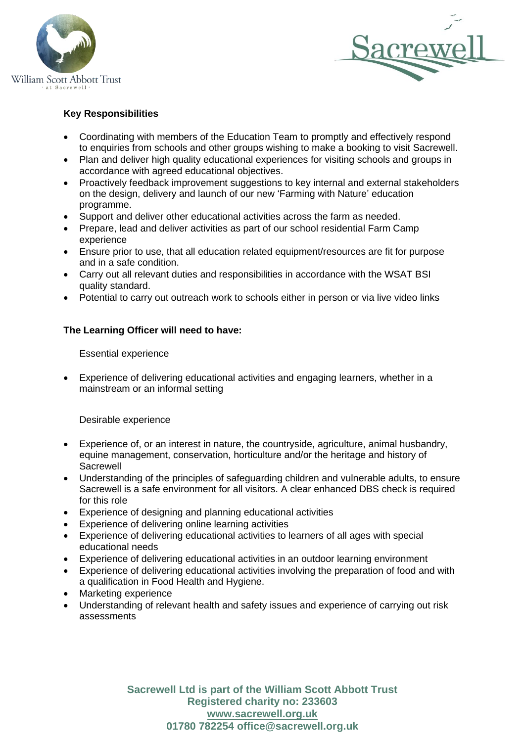



## **Key Responsibilities**

- Coordinating with members of the Education Team to promptly and effectively respond to enquiries from schools and other groups wishing to make a booking to visit Sacrewell.
- Plan and deliver high quality educational experiences for visiting schools and groups in accordance with agreed educational objectives.
- Proactively feedback improvement suggestions to key internal and external stakeholders on the design, delivery and launch of our new 'Farming with Nature' education programme.
- Support and deliver other educational activities across the farm as needed.
- Prepare, lead and deliver activities as part of our school residential Farm Camp experience
- Ensure prior to use, that all education related equipment/resources are fit for purpose and in a safe condition.
- Carry out all relevant duties and responsibilities in accordance with the WSAT BSI quality standard.
- Potential to carry out outreach work to schools either in person or via live video links

## **The Learning Officer will need to have:**

Essential experience

• Experience of delivering educational activities and engaging learners, whether in a mainstream or an informal setting

Desirable experience

- Experience of, or an interest in nature, the countryside, agriculture, animal husbandry, equine management, conservation, horticulture and/or the heritage and history of **Sacrewell**
- Understanding of the principles of safeguarding children and vulnerable adults, to ensure Sacrewell is a safe environment for all visitors. A clear enhanced DBS check is required for this role
- Experience of designing and planning educational activities
- Experience of delivering online learning activities
- Experience of delivering educational activities to learners of all ages with special educational needs
- Experience of delivering educational activities in an outdoor learning environment
- Experience of delivering educational activities involving the preparation of food and with a qualification in Food Health and Hygiene.
- Marketing experience
- Understanding of relevant health and safety issues and experience of carrying out risk assessments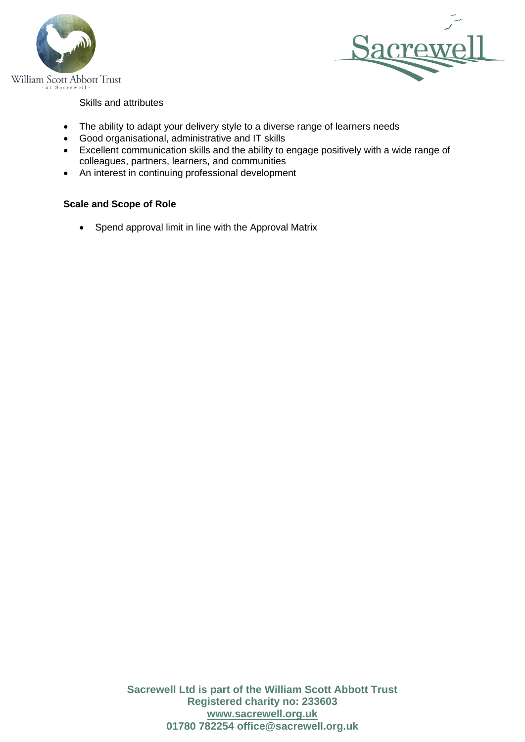



Skills and attributes

- The ability to adapt your delivery style to a diverse range of learners needs
- Good organisational, administrative and IT skills
- Excellent communication skills and the ability to engage positively with a wide range of colleagues, partners, learners, and communities
- An interest in continuing professional development

# **Scale and Scope of Role**

• Spend approval limit in line with the Approval Matrix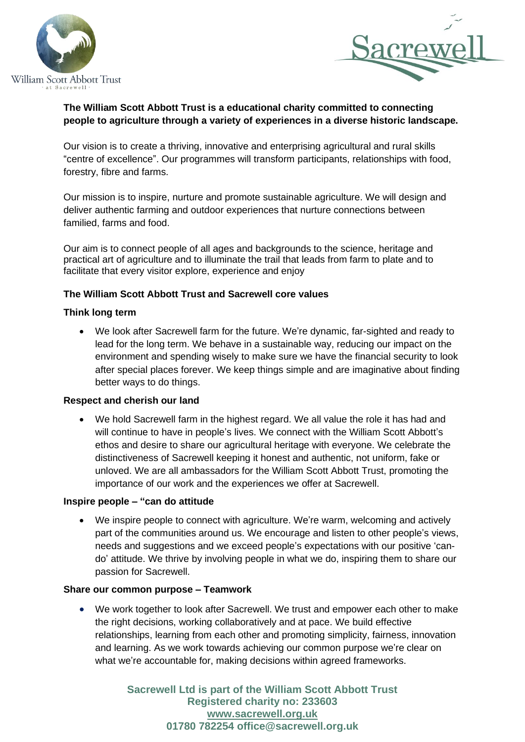



# **The William Scott Abbott Trust is a educational charity committed to connecting people to agriculture through a variety of experiences in a diverse historic landscape.**

Our vision is to create a thriving, innovative and enterprising agricultural and rural skills "centre of excellence". Our programmes will transform participants, relationships with food, forestry, fibre and farms.

Our mission is to inspire, nurture and promote sustainable agriculture. We will design and deliver authentic farming and outdoor experiences that nurture connections between familied, farms and food.

Our aim is to connect people of all ages and backgrounds to the science, heritage and practical art of agriculture and to illuminate the trail that leads from farm to plate and to facilitate that every visitor explore, experience and enjoy

## **The William Scott Abbott Trust and Sacrewell core values**

## **Think long term**

• We look after Sacrewell farm for the future. We're dynamic, far-sighted and ready to lead for the long term. We behave in a sustainable way, reducing our impact on the environment and spending wisely to make sure we have the financial security to look after special places forever. We keep things simple and are imaginative about finding better ways to do things.

## **Respect and cherish our land**

• We hold Sacrewell farm in the highest regard. We all value the role it has had and will continue to have in people's lives. We connect with the William Scott Abbott's ethos and desire to share our agricultural heritage with everyone. We celebrate the distinctiveness of Sacrewell keeping it honest and authentic, not uniform, fake or unloved. We are all ambassadors for the William Scott Abbott Trust, promoting the importance of our work and the experiences we offer at Sacrewell.

## **Inspire people – "can do attitude**

We inspire people to connect with agriculture. We're warm, welcoming and actively part of the communities around us. We encourage and listen to other people's views, needs and suggestions and we exceed people's expectations with our positive 'cando' attitude. We thrive by involving people in what we do, inspiring them to share our passion for Sacrewell.

## **Share our common purpose – Teamwork**

• We work together to look after Sacrewell. We trust and empower each other to make the right decisions, working collaboratively and at pace. We build effective relationships, learning from each other and promoting simplicity, fairness, innovation and learning. As we work towards achieving our common purpose we're clear on what we're accountable for, making decisions within agreed frameworks.